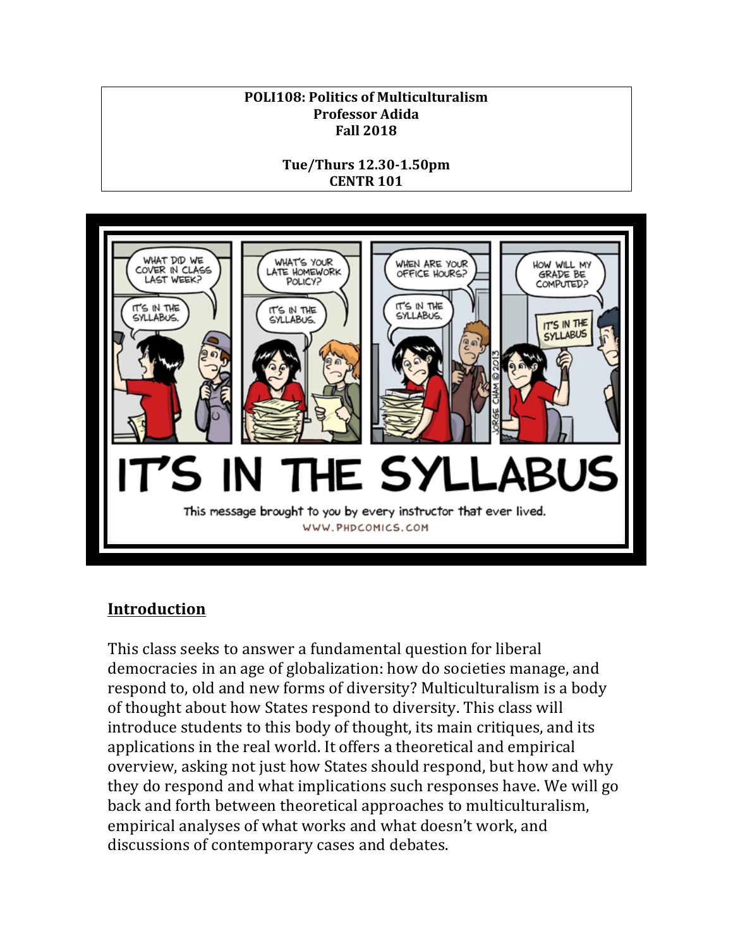# **POLI108: Politics of Multiculturalism Professor Adida Fall 2018**

**Tue/Thurs 12.30-1.50pm CENTR 101** 



# **Introduction**

This class seeks to answer a fundamental question for liberal democracies in an age of globalization: how do societies manage, and respond to, old and new forms of diversity? Multiculturalism is a body of thought about how States respond to diversity. This class will introduce students to this body of thought, its main critiques, and its applications in the real world. It offers a theoretical and empirical overview, asking not just how States should respond, but how and why they do respond and what implications such responses have. We will go back and forth between theoretical approaches to multiculturalism, empirical analyses of what works and what doesn't work, and discussions of contemporary cases and debates.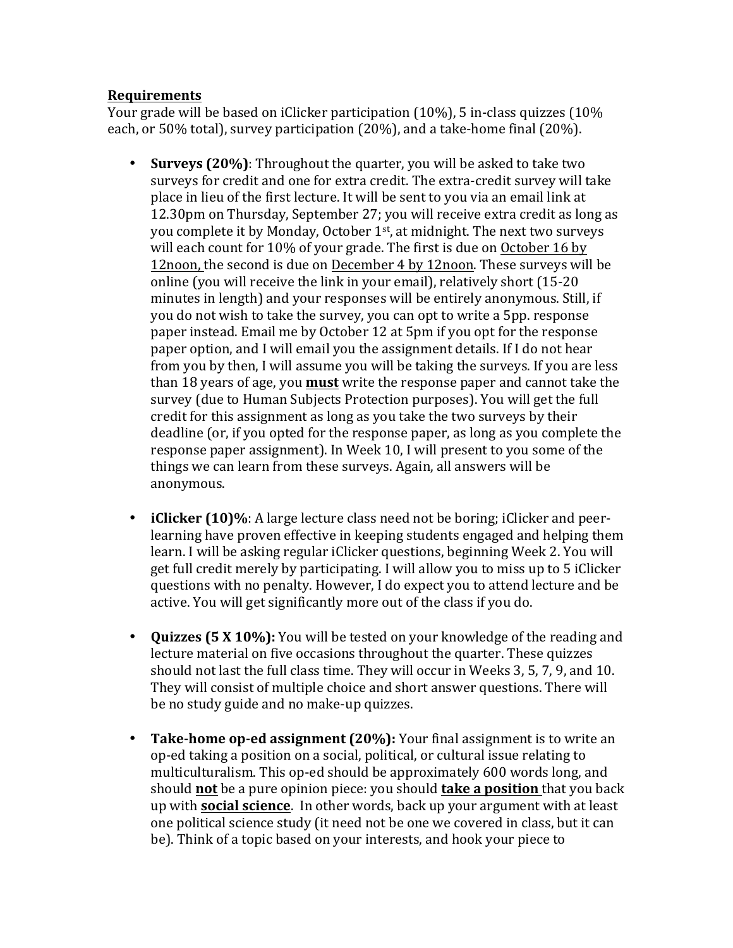## **Requirements**

Your grade will be based on iClicker participation  $(10\%)$ , 5 in-class quizzes  $(10\%)$ each, or 50% total), survey participation  $(20\%)$ , and a take-home final  $(20\%)$ .

- **Surveys (20%)**: Throughout the quarter, you will be asked to take two surveys for credit and one for extra credit. The extra-credit survey will take place in lieu of the first lecture. It will be sent to you via an email link at 12.30pm on Thursday, September 27; you will receive extra credit as long as you complete it by Monday, October 1<sup>st</sup>, at midnight. The next two surveys will each count for 10% of your grade. The first is due on October 16 by 12noon, the second is due on December 4 by 12noon. These surveys will be online (you will receive the link in your email), relatively short  $(15-20)$ minutes in length) and your responses will be entirely anonymous. Still, if you do not wish to take the survey, you can opt to write a 5pp. response paper instead. Email me by October 12 at 5pm if you opt for the response paper option, and I will email you the assignment details. If I do not hear from you by then, I will assume you will be taking the surveys. If you are less than 18 years of age, you **must** write the response paper and cannot take the survey (due to Human Subjects Protection purposes). You will get the full credit for this assignment as long as you take the two surveys by their deadline (or, if you opted for the response paper, as long as you complete the response paper assignment). In Week 10, I will present to you some of the things we can learn from these surveys. Again, all answers will be anonymous.
- **iClicker (10)%**: A large lecture class need not be boring; iClicker and peerlearning have proven effective in keeping students engaged and helping them learn. I will be asking regular iClicker questions, beginning Week 2. You will get full credit merely by participating. I will allow you to miss up to 5 iClicker questions with no penalty. However, I do expect you to attend lecture and be active. You will get significantly more out of the class if you do.
- **Quizzes (5 X 10%):** You will be tested on your knowledge of the reading and lecture material on five occasions throughout the quarter. These quizzes should not last the full class time. They will occur in Weeks 3, 5, 7, 9, and 10. They will consist of multiple choice and short answer questions. There will be no study guide and no make-up quizzes.
- **Take-home op-ed assignment (20%):** Your final assignment is to write an op-ed taking a position on a social, political, or cultural issue relating to multiculturalism. This op-ed should be approximately 600 words long, and should **not** be a pure opinion piece: you should **take a position** that you back up with **social science**. In other words, back up your argument with at least one political science study (it need not be one we covered in class, but it can be). Think of a topic based on your interests, and hook your piece to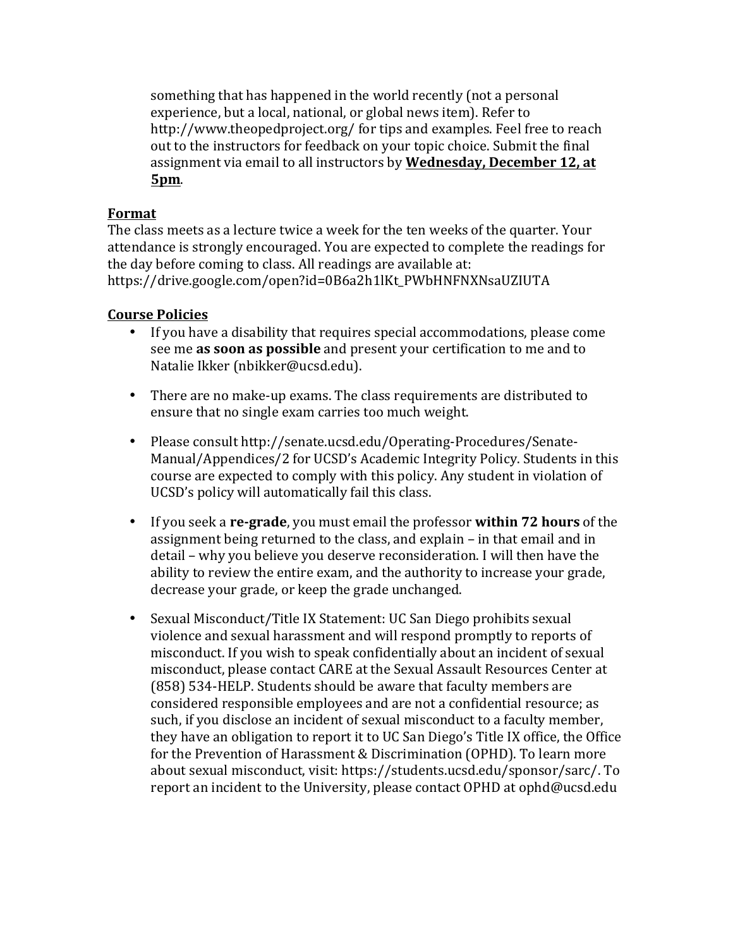something that has happened in the world recently (not a personal experience, but a local, national, or global news item). Refer to http://www.theopedproject.org/ for tips and examples. Feel free to reach out to the instructors for feedback on your topic choice. Submit the final assignment via email to all instructors by Wednesday, December 12, at **5pm**.

# **Format**

The class meets as a lecture twice a week for the ten weeks of the quarter. Your attendance is strongly encouraged. You are expected to complete the readings for the day before coming to class. All readings are available at: https://drive.google.com/open?id=0B6a2h1lKt\_PWbHNFNXNsaUZIUTA

# **Course Policies**

- If you have a disability that requires special accommodations, please come see me as soon as possible and present your certification to me and to Natalie Ikker (nbikker@ucsd.edu).
- There are no make-up exams. The class requirements are distributed to ensure that no single exam carries too much weight.
- Please consult http://senate.ucsd.edu/Operating-Procedures/Senate-Manual/Appendices/2 for UCSD's Academic Integrity Policy. Students in this course are expected to comply with this policy. Any student in violation of UCSD's policy will automatically fail this class.
- If you seek a **re-grade**, you must email the professor **within 72 hours** of the assignment being returned to the class, and explain – in that email and in detail – why you believe you deserve reconsideration. I will then have the ability to review the entire exam, and the authority to increase your grade, decrease your grade, or keep the grade unchanged.
- Sexual Misconduct/Title IX Statement: UC San Diego prohibits sexual violence and sexual harassment and will respond promptly to reports of misconduct. If you wish to speak confidentially about an incident of sexual misconduct, please contact CARE at the Sexual Assault Resources Center at (858) 534-HELP. Students should be aware that faculty members are considered responsible employees and are not a confidential resource; as such, if you disclose an incident of sexual misconduct to a faculty member, they have an obligation to report it to UC San Diego's Title IX office, the Office for the Prevention of Harassment & Discrimination (OPHD). To learn more about sexual misconduct, visit: https://students.ucsd.edu/sponsor/sarc/. To report an incident to the University, please contact OPHD at ophd@ucsd.edu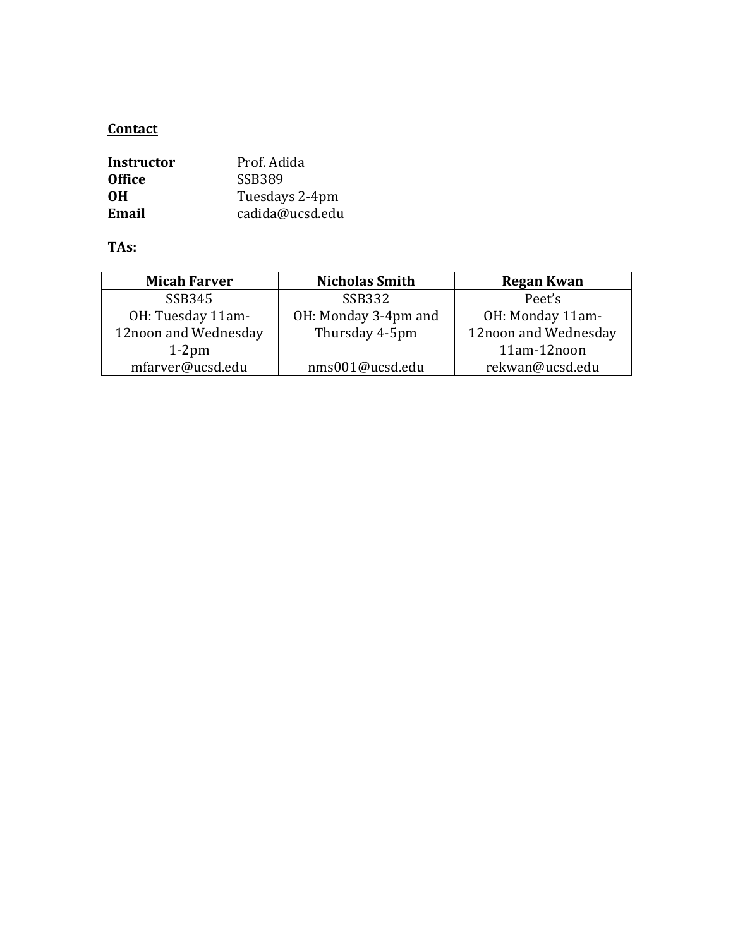# **Contact**

| Instructor    | Prof. Adida     |
|---------------|-----------------|
| <b>Office</b> | <b>SSB389</b>   |
| 0H            | Tuesdays 2-4pm  |
| Email         | cadida@ucsd.edu |

**TAs:**

| <b>Micah Farver</b>  | <b>Nicholas Smith</b> | <b>Regan Kwan</b>    |
|----------------------|-----------------------|----------------------|
| SSB345               | <b>SSB332</b>         | Peet's               |
| OH: Tuesday 11am-    | OH: Monday 3-4pm and  | OH: Monday 11am-     |
| 12noon and Wednesday | Thursday 4-5pm        | 12noon and Wednesday |
| $1-2$ pm             |                       | 11am-12noon          |
| mfarver@ucsd.edu     | nms001@ucsd.edu       | rekwan@ucsd.edu      |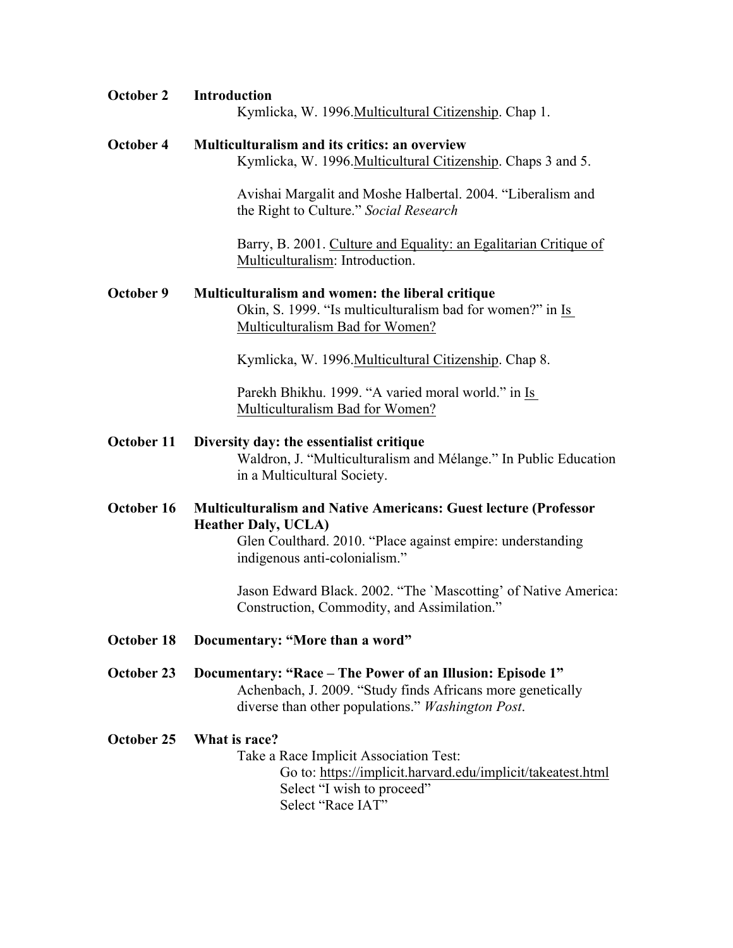| <b>October 2</b> | <b>Introduction</b><br>Kymlicka, W. 1996. Multicultural Citizenship. Chap 1.                                                                                                                        |  |
|------------------|-----------------------------------------------------------------------------------------------------------------------------------------------------------------------------------------------------|--|
| October 4        | Multiculturalism and its critics: an overview<br>Kymlicka, W. 1996. Multicultural Citizenship. Chaps 3 and 5.                                                                                       |  |
|                  | Avishai Margalit and Moshe Halbertal. 2004. "Liberalism and<br>the Right to Culture." Social Research                                                                                               |  |
|                  | Barry, B. 2001. Culture and Equality: an Egalitarian Critique of<br>Multiculturalism: Introduction.                                                                                                 |  |
| October 9        | Multiculturalism and women: the liberal critique<br>Okin, S. 1999. "Is multiculturalism bad for women?" in Is<br>Multiculturalism Bad for Women?                                                    |  |
|                  | Kymlicka, W. 1996. Multicultural Citizenship. Chap 8.                                                                                                                                               |  |
|                  | Parekh Bhikhu. 1999. "A varied moral world." in Is<br>Multiculturalism Bad for Women?                                                                                                               |  |
| October 11       | Diversity day: the essentialist critique<br>Waldron, J. "Multiculturalism and Mélange." In Public Education<br>in a Multicultural Society.                                                          |  |
| October 16       | <b>Multiculturalism and Native Americans: Guest lecture (Professor</b><br><b>Heather Daly, UCLA)</b><br>Glen Coulthard. 2010. "Place against empire: understanding<br>indigenous anti-colonialism." |  |
|                  | Jason Edward Black. 2002. "The 'Mascotting' of Native America:<br>Construction, Commodity, and Assimilation."                                                                                       |  |
| October 18       | Documentary: "More than a word"                                                                                                                                                                     |  |
| October 23       | Documentary: "Race – The Power of an Illusion: Episode 1"<br>Achenbach, J. 2009. "Study finds Africans more genetically<br>diverse than other populations." Washington Post.                        |  |

# **October 25 What is race?**

Take a Race Implicit Association Test: Go to: https://implicit.harvard.edu/implicit/takeatest.html Select "I wish to proceed" Select "Race IAT"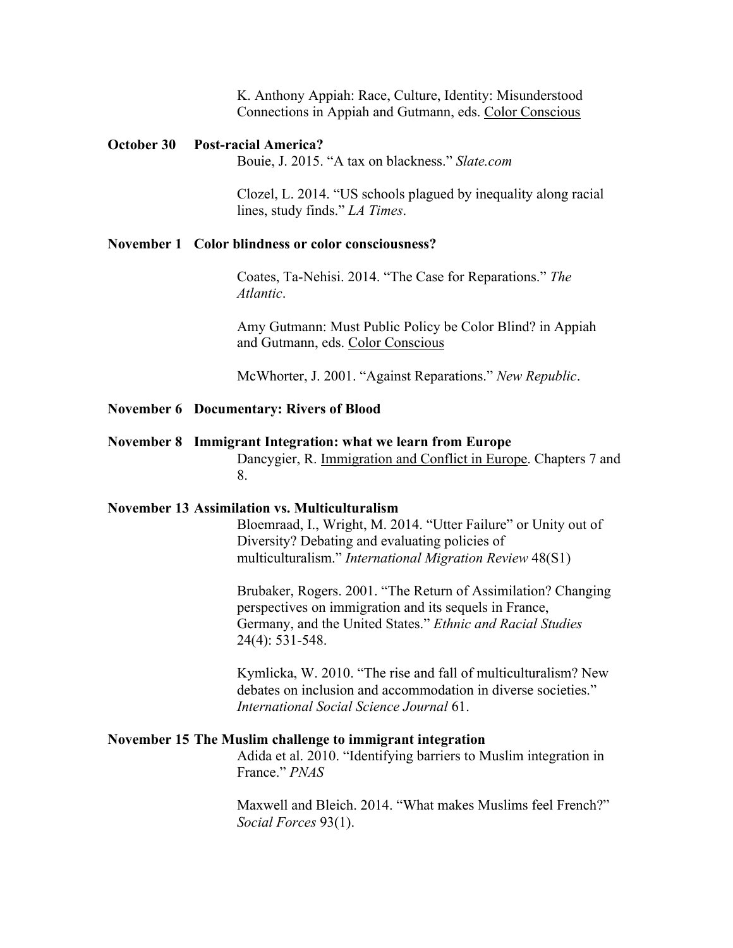K. Anthony Appiah: Race, Culture, Identity: Misunderstood Connections in Appiah and Gutmann, eds. Color Conscious

### **October 30 Post-racial America?**

Bouie, J. 2015. "A tax on blackness." *Slate.com*

Clozel, L. 2014. "US schools plagued by inequality along racial lines, study finds." *LA Times*.

### **November 1 Color blindness or color consciousness?**

Coates, Ta-Nehisi. 2014. "The Case for Reparations." *The Atlantic*.

Amy Gutmann: Must Public Policy be Color Blind? in Appiah and Gutmann, eds. Color Conscious

McWhorter, J. 2001. "Against Reparations." *New Republic*.

### **November 6 Documentary: Rivers of Blood**

#### **November 8 Immigrant Integration: what we learn from Europe**

Dancygier, R. Immigration and Conflict in Europe. Chapters 7 and 8.

### **November 13 Assimilation vs. Multiculturalism**

Bloemraad, I., Wright, M. 2014. "Utter Failure" or Unity out of Diversity? Debating and evaluating policies of multiculturalism." *International Migration Review* 48(S1)

Brubaker, Rogers. 2001. "The Return of Assimilation? Changing perspectives on immigration and its sequels in France, Germany, and the United States." *Ethnic and Racial Studies* 24(4): 531-548.

Kymlicka, W. 2010. "The rise and fall of multiculturalism? New debates on inclusion and accommodation in diverse societies." *International Social Science Journal* 61.

### **November 15 The Muslim challenge to immigrant integration**

Adida et al. 2010. "Identifying barriers to Muslim integration in France." *PNAS*

Maxwell and Bleich. 2014. "What makes Muslims feel French?" *Social Forces* 93(1).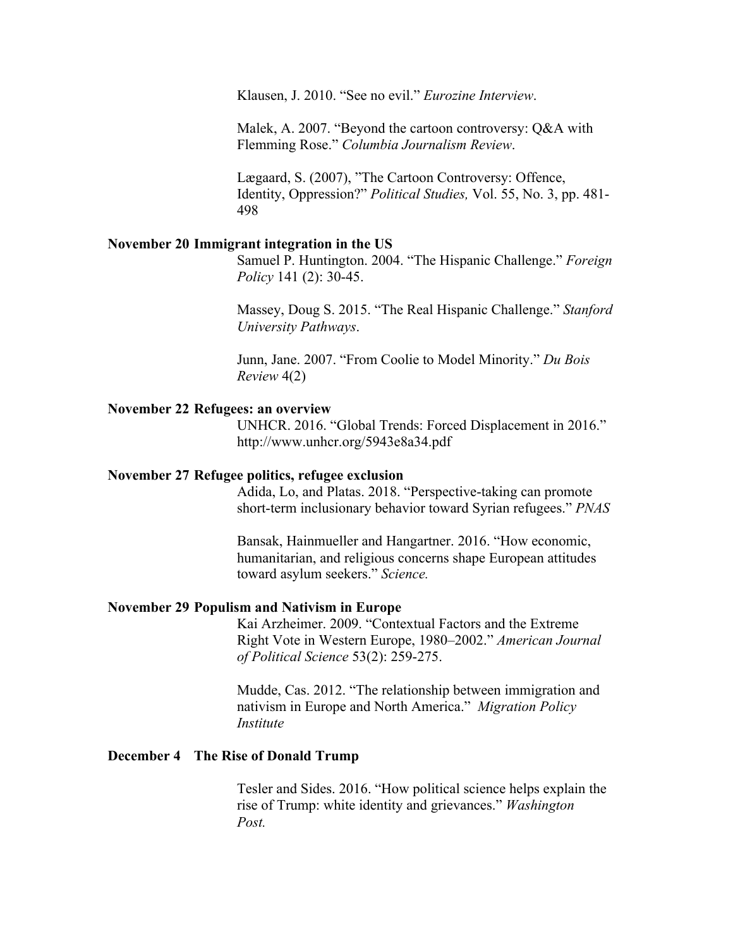Klausen, J. 2010. "See no evil." *Eurozine Interview*.

Malek, A. 2007. "Beyond the cartoon controversy: Q&A with Flemming Rose." *Columbia Journalism Review*.

Lægaard, S. (2007), "The Cartoon Controversy: Offence, Identity, Oppression?" *Political Studies,* Vol. 55, No. 3, pp. 481- 498

#### **November 20 Immigrant integration in the US**

Samuel P. Huntington. 2004. "The Hispanic Challenge." *Foreign Policy* 141 (2): 30-45.

Massey, Doug S. 2015. "The Real Hispanic Challenge." *Stanford University Pathways*.

Junn, Jane. 2007. "From Coolie to Model Minority." *Du Bois Review* 4(2)

#### **November 22 Refugees: an overview**

UNHCR. 2016. "Global Trends: Forced Displacement in 2016." http://www.unhcr.org/5943e8a34.pdf

### **November 27 Refugee politics, refugee exclusion**

Adida, Lo, and Platas. 2018. "Perspective-taking can promote short-term inclusionary behavior toward Syrian refugees." *PNAS*

Bansak, Hainmueller and Hangartner. 2016. "How economic, humanitarian, and religious concerns shape European attitudes toward asylum seekers." *Science.*

#### **November 29 Populism and Nativism in Europe**

Kai Arzheimer. 2009. "Contextual Factors and the Extreme Right Vote in Western Europe, 1980–2002." *American Journal of Political Science* 53(2): 259-275.

Mudde, Cas. 2012. "The relationship between immigration and nativism in Europe and North America." *Migration Policy Institute*

#### **December 4 The Rise of Donald Trump**

Tesler and Sides. 2016. "How political science helps explain the rise of Trump: white identity and grievances." *Washington Post.*